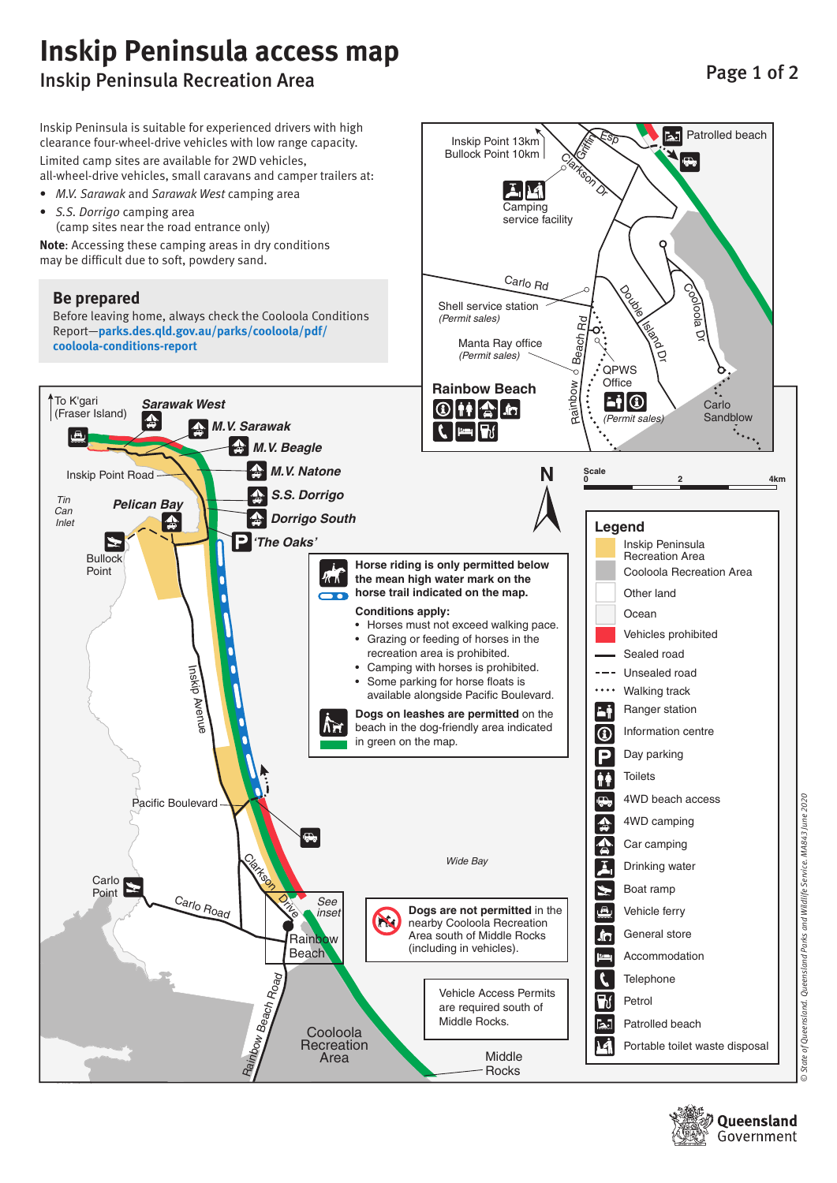## **Inskip Peninsula access map** Inskip Peninsula Recreation Area